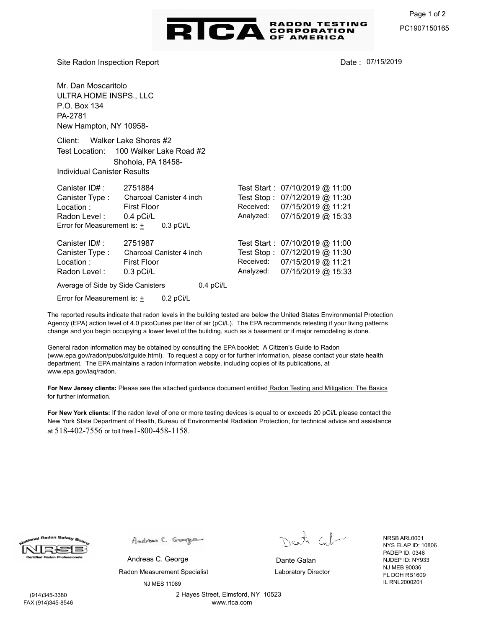

Site Radon Inspection Report

Date: 07/15/2019

Mr. Dan Moscaritolo ULTRA HOME INSPS., LLC P.O. Box 134 PA-2781 New Hampton, NY 10958- Client: Walker Lake Shores #2 Test Location: 100 Walker Lake Road #2 Individual Canister Results Shohola, PA 18458- Canister ID# : 2751884 Canister Type : Radon Level : Test Start : 07/10/2019 @ 11:00 Test Stop : 07/12/2019 @ 11:30 Location : First Floor 0.4 pCi/L Charcoal Canister 4 inch Analyzed: 07/15/2019 @ 15:33 Received: 07/15/2019 @ 11:21 Error for Measurement is:  $+$  0.3 pCi/L Canister ID# : 2751987 Canister Type : Radon Level : Test Start : 07/10/2019 @ 11:00 Test Stop : 07/12/2019 @ 11:30 Location : First Floor 0.3 pCi/L Charcoal Canister 4 inch Analyzed: 07/15/2019 @ 15:33 Received: 07/15/2019 @ 11:21

Average of Side by Side Canisters 0.4 pCi/L

Error for Measurement is: + 0.2 pCi/L

The reported results indicate that radon levels in the building tested are below the United States Environmental Protection Agency (EPA) action level of 4.0 picoCuries per liter of air (pCi/L). The EPA recommends retesting if your living patterns change and you begin occupying a lower level of the building, such as a basement or if major remodeling is done.

General radon information may be obtained by consulting the EPA booklet: A Citizen's Guide to Radon (www.epa.gov/radon/pubs/citguide.html). To request a copy or for further information, please contact your state health department. The EPA maintains a radon information website, including copies of its publications, at www.epa.gov/iaq/radon.

**For New Jersey clients:** Please see the attached guidance document entitled Radon Testing and Mitigation: The Basics for further information.

**For New York clients:** If the radon level of one or more testing devices is equal to or exceeds 20 pCi/L please contact the New York State Department of Health, Bureau of Environmental Radiation Protection, for technical advice and assistance at 518-402-7556 or toll free1-800-458-1158.

Andrew C. George

Radon Measurement Specialist **Laboratory Director** NJ MES 11089 Andreas C. George **Dante Galan** 

Dank Col

NRSB ARL0001 NYS ELAP ID: 10806 PADEP ID: 0346 NJDEP ID: NY933 NJ MEB 90036 FL DOH RB1609 IL RNL2000201

 (914)345-3380 FAX (914)345-8546 2 Hayes Street, Elmsford, NY 10523 www.rtca.com